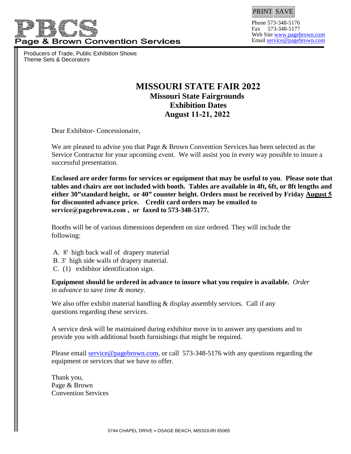

Producers of Trade, Public Exhibition Shows Theme Sets & Decorators



Phone 573-348-5176 Fax 573-348-5177 Web Sit[e www.pagebrown.com](http://www.pagebrown.com/) Email [service@pagebrown.com](mailto:service@pagebrown.com)

# **MISSOURI STATE FAIR 2022 Missouri State Fairgrounds Exhibition Dates August 11-21, 2022**

Dear Exhibitor- Concessionaire,

We are pleased to advise you that Page & Brown Convention Services has been selected as the Service Contractor for your upcoming event. We will assist you in every way possible to insure a successful presentation.

**Enclosed are order forms for services or equipment that may be useful to you**. **Please note that tables and chairs are not included with booth. Tables are available in 4ft, 6ft, or 8ft lengths and either 30"standard height, or 40" counter height. Orders must be received by Friday August 5 for discounted advance price. Credit card orders may be emailed to service@pagebrown.com , or faxed to 573-348-5177.** 

Booths will be of various dimensions dependent on size ordered. They will include the following:

- A. 8' high back wall of drapery material
- B. 3' high side walls of drapery material.
- C. (1) exhibitor identification sign.

**Equipment should be ordered in advance to insure what you require is available.** *Order in advance to save time & money.* 

We also offer exhibit material handling  $\&$  display assembly services. Call if any questions regarding these services.

A service de[sk will be maintained durin](mailto:service@pagebrown.com)g exhibitor move in to answer any questions and to provide you with additional booth furnishings that might be required.

Please email service@pagebrown.com, or call 573-348-5176 with any questions regarding the equipment or services that we have to offer.

Thank you, Page & Brown Convention Services